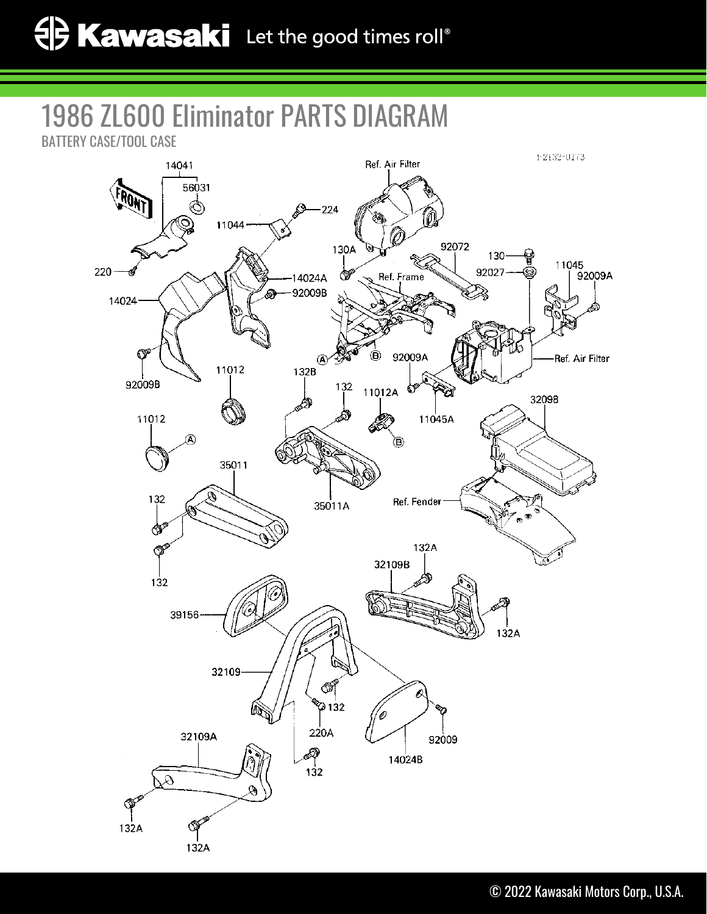1986 ZL600 Eliminator PARTS DIAGRAM

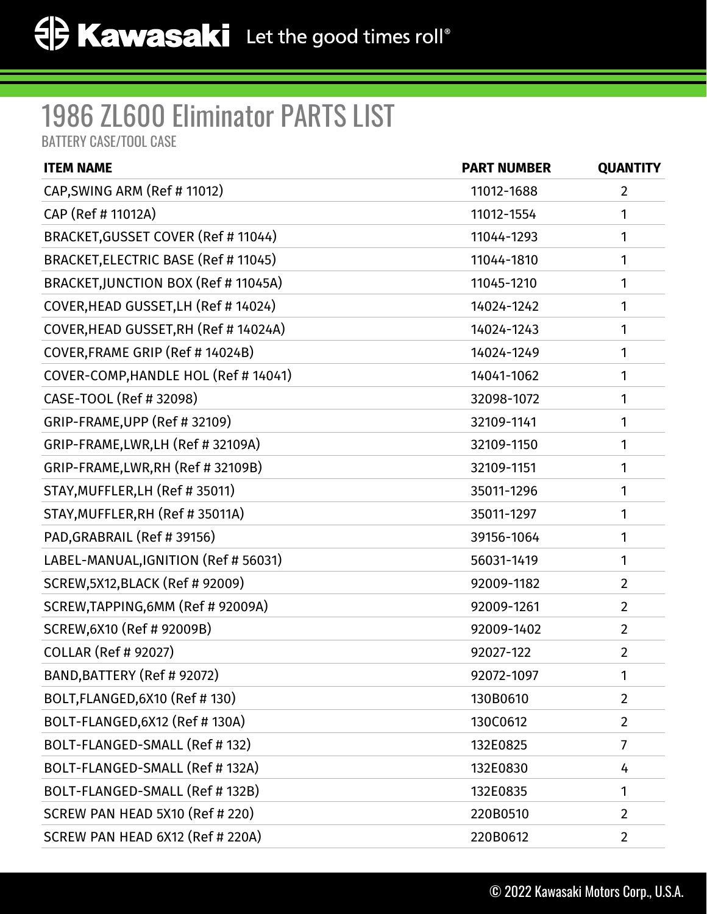## 1986 ZL600 Eliminator PARTS LIST

BATTERY CASE/TOOL CASE

| <b>ITEM NAME</b>                        | <b>PART NUMBER</b> | <b>QUANTITY</b> |
|-----------------------------------------|--------------------|-----------------|
| CAP, SWING ARM (Ref # 11012)            | 11012-1688         | $\overline{2}$  |
| CAP (Ref # 11012A)                      | 11012-1554         | 1               |
| BRACKET, GUSSET COVER (Ref # 11044)     | 11044-1293         | 1               |
| BRACKET, ELECTRIC BASE (Ref # 11045)    | 11044-1810         | 1               |
| BRACKET, JUNCTION BOX (Ref # 11045A)    | 11045-1210         | 1               |
| COVER, HEAD GUSSET, LH (Ref # 14024)    | 14024-1242         | 1               |
| COVER, HEAD GUSSET, RH (Ref # 14024A)   | 14024-1243         | 1               |
| COVER, FRAME GRIP (Ref # 14024B)        | 14024-1249         | 1               |
| COVER-COMP, HANDLE HOL (Ref # 14041)    | 14041-1062         | 1               |
| CASE-TOOL (Ref # 32098)                 | 32098-1072         | 1               |
| GRIP-FRAME, UPP (Ref # 32109)           | 32109-1141         | 1               |
| GRIP-FRAME, LWR, LH (Ref #32109A)       | 32109-1150         | 1               |
| GRIP-FRAME, LWR, RH (Ref #32109B)       | 32109-1151         | 1               |
| STAY, MUFFLER, LH (Ref # 35011)         | 35011-1296         | 1               |
| STAY, MUFFLER, RH (Ref #35011A)         | 35011-1297         | 1               |
| PAD, GRABRAIL (Ref # 39156)             | 39156-1064         | 1               |
| LABEL-MANUAL, IGNITION (Ref # 56031)    | 56031-1419         | 1               |
| <b>SCREW, 5X12, BLACK (Ref # 92009)</b> | 92009-1182         | $\overline{2}$  |
| SCREW, TAPPING, 6MM (Ref # 92009A)      | 92009-1261         | $\overline{2}$  |
| SCREW, 6X10 (Ref # 92009B)              | 92009-1402         | $\overline{2}$  |
| <b>COLLAR (Ref # 92027)</b>             | 92027-122          | $\overline{2}$  |
| BAND, BATTERY (Ref # 92072)             | 92072-1097         | 1               |
| BOLT, FLANGED, 6X10 (Ref #130)          | 130B0610           | $\overline{2}$  |
| BOLT-FLANGED, 6X12 (Ref # 130A)         | 130C0612           | $\overline{2}$  |
| BOLT-FLANGED-SMALL (Ref # 132)          | 132E0825           | 7               |
| BOLT-FLANGED-SMALL (Ref # 132A)         | 132E0830           | 4               |
| BOLT-FLANGED-SMALL (Ref # 132B)         | 132E0835           | 1               |
| SCREW PAN HEAD 5X10 (Ref # 220)         | 220B0510           | $\overline{2}$  |
| SCREW PAN HEAD 6X12 (Ref # 220A)        | 220B0612           | $\overline{2}$  |